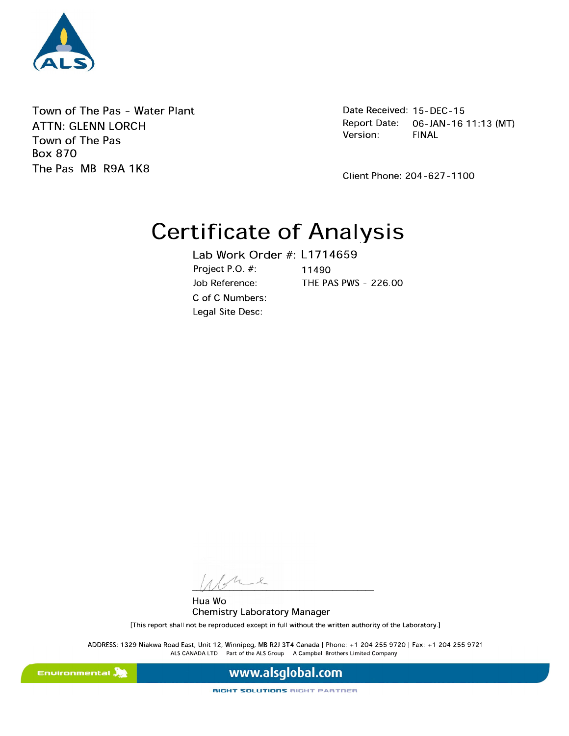

Town of The Pas - Water Plant **ATTN: GLENN LORCH** Town of The Pas **Box 870** The Pas MB R9A 1K8

Date Received: 15-DEC-15 **Report Date:** 06-JAN-16 11:13 (MT) Version: **FINAL** 

Client Phone: 204-627-1100

# **Certificate of Analysis**

Lab Work Order #: L1714659 Project PO #: 11490 Job Reference: THE PAS PWS - 226.00 C of C Numbers: Legal Site Desc:

 $u_{2}$ 

Hua Wo **Chemistry Laboratory Manager** 

[This report shall not be reproduced except in full without the written authority of the Laboratory.]

ADDRESS: 1329 Niakwa Road East, Unit 12, Winnipeg, MB R2J 3T4 Canada | Phone: +1 204 255 9720 | Fax: +1 204 255 9721 ALS CANADA LTD Part of the ALS Group A Campbell Brothers Limited Company

Environmental **A** 

www.alsglobal.com

**RIGHT SOLUTIONS RIGHT PARTNER**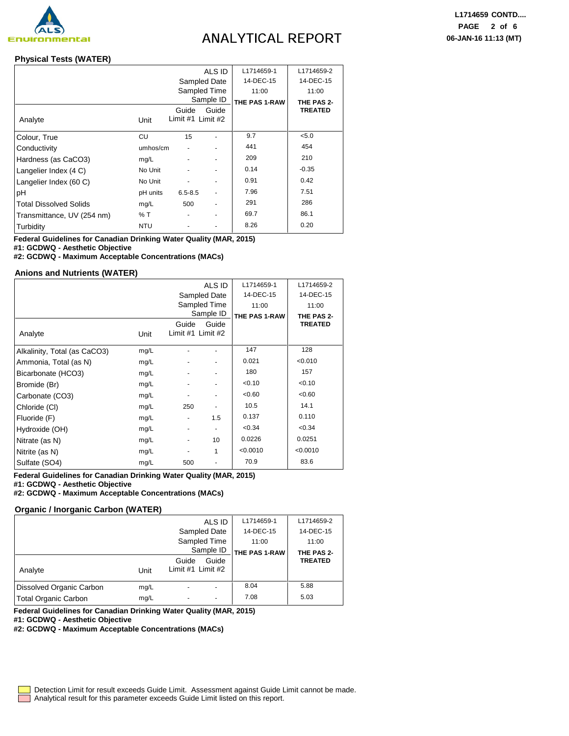

# **ANALYTICAL REPORT**

### **Physical Tests (WATER)**

|                               | ALS ID       |                            |              | L1714659-1    | L1714659-2     |
|-------------------------------|--------------|----------------------------|--------------|---------------|----------------|
|                               | Sampled Date |                            |              | 14-DEC-15     | 14-DEC-15      |
|                               |              |                            | Sampled Time | 11:00         | 11:00          |
|                               |              |                            | Sample ID    | THE PAS 1-RAW | THE PAS 2-     |
| Analyte                       | Unit         | Guide<br>Limit #1 Limit #2 | Guide        |               | <b>TREATED</b> |
| Colour, True                  | CU           | 15                         |              | 9.7           | < 5.0          |
| Conductivity                  | umhos/cm     |                            |              | 441           | 454            |
| Hardness (as CaCO3)           | mg/L         |                            |              | 209           | 210            |
| Langelier Index (4 C)         | No Unit      |                            |              | 0.14          | $-0.35$        |
| Langelier Index (60 C)        | No Unit      |                            |              | 0.91          | 0.42           |
| pH                            | pH units     | $6.5 - 8.5$                |              | 7.96          | 7.51           |
| <b>Total Dissolved Solids</b> | mg/L         | 500                        |              | 291           | 286            |
| Transmittance, UV (254 nm)    | % T          |                            |              | 69.7          | 86.1           |
| Turbidity                     | <b>NTU</b>   |                            |              | 8.26          | 0.20           |

**Federal Guidelines for Canadian Drinking Water Quality (MAR, 2015) #1: GCDWQ - Aesthetic Objective**

**#2: GCDWQ - Maximum Acceptable Concentrations (MACs)**

### **Anions and Nutrients (WATER)**

|                              | ALS ID |                              |                | L1714659-1    | L1714659-2     |
|------------------------------|--------|------------------------------|----------------|---------------|----------------|
|                              |        |                              | Sampled Date   | 14-DEC-15     | 14-DEC-15      |
|                              |        |                              | Sampled Time   | 11:00         | 11:00          |
|                              |        |                              | Sample ID      | THE PAS 1-RAW | THE PAS 2-     |
| Analyte                      | Unit   | Guide<br>Limit #1 Limit #2   | Guide          |               | <b>TREATED</b> |
| Alkalinity, Total (as CaCO3) | mg/L   |                              | ۰              | 147           | 128            |
| Ammonia, Total (as N)        | mg/L   |                              | ٠              | 0.021         | < 0.010        |
| Bicarbonate (HCO3)           | mg/L   |                              | ۰              | 180           | 157            |
| Bromide (Br)                 | mg/L   | $\blacksquare$               | ٠              | < 0.10        | < 0.10         |
| Carbonate (CO3)              | mg/L   | $\qquad \qquad \blacksquare$ | ٠              | < 0.60        | < 0.60         |
| Chloride (CI)                | mg/L   | 250                          |                | 10.5          | 14.1           |
| Fluoride (F)                 | mg/L   | $\blacksquare$               | 1.5            | 0.137         | 0.110          |
| Hydroxide (OH)               | mg/L   | $\overline{\phantom{a}}$     | $\blacksquare$ | < 0.34        | < 0.34         |
| Nitrate (as N)               | mg/L   | ٠                            | 10             | 0.0226        | 0.0251         |
| Nitrite (as N)               | mg/L   |                              | 1              | < 0.0010      | < 0.0010       |
| Sulfate (SO4)                | mg/L   | 500                          |                | 70.9          | 83.6           |

**Federal Guidelines for Canadian Drinking Water Quality (MAR, 2015) #1: GCDWQ - Aesthetic Objective**

**#2: GCDWQ - Maximum Acceptable Concentrations (MACs)**

#### **Organic / Inorganic Carbon (WATER)**

|                          |      | ALS ID                              | L1714659-1    | L1714659-2     |
|--------------------------|------|-------------------------------------|---------------|----------------|
|                          |      | Sampled Date                        | 14-DEC-15     | 14-DEC-15      |
|                          |      | Sampled Time                        | 11:00         | 11:00          |
|                          |      | Sample ID                           | THE PAS 1-RAW | THE PAS 2-     |
| Analyte                  | Unit | Guide<br>Guide<br>Limit #1 Limit #2 |               | <b>TREATED</b> |
| Dissolved Organic Carbon | mg/L |                                     | 8.04          | 5.88           |
| Total Organic Carbon     | mg/L | $\overline{\phantom{0}}$            | 7.08          | 5.03           |

**Federal Guidelines for Canadian Drinking Water Quality (MAR, 2015)**

**#1: GCDWQ - Aesthetic Objective**

**#2: GCDWQ - Maximum Acceptable Concentrations (MACs)**

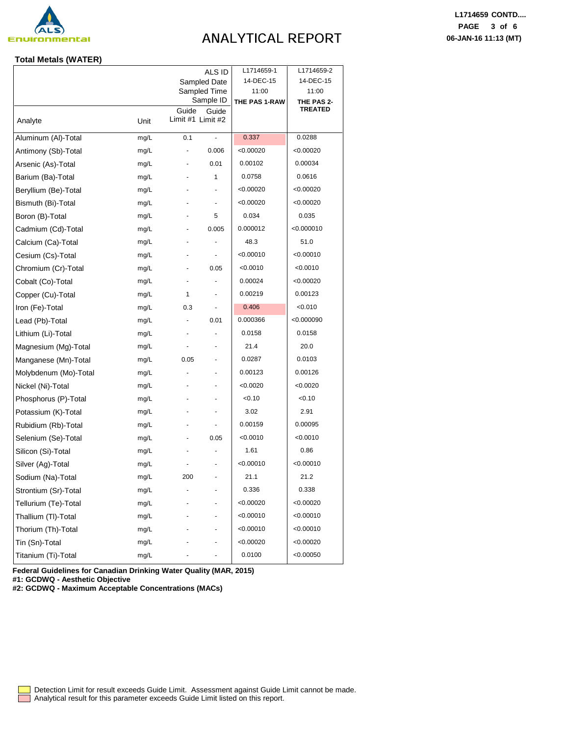

# **ANALYTICAL REPORT**

### **Total Metals (WATER)**

|                       | ALS ID |                              |                          | L1714659-1<br>14-DEC-15 | L1714659-2          |
|-----------------------|--------|------------------------------|--------------------------|-------------------------|---------------------|
|                       |        | Sampled Date                 |                          |                         | 14-DEC-15           |
|                       |        | Sampled Time<br>Sample ID    |                          | 11:00<br>THE PAS 1-RAW  | 11:00<br>THE PAS 2- |
|                       |        | Guide                        | Guide                    |                         | <b>TREATED</b>      |
| Analyte               | Unit   | Limit #1 Limit #2            |                          |                         |                     |
| Aluminum (Al)-Total   | mg/L   | 0.1                          | $\overline{\phantom{a}}$ | 0.337                   | 0.0288              |
| Antimony (Sb)-Total   | mg/L   | ٠                            | 0.006                    | < 0.00020               | < 0.00020           |
| Arsenic (As)-Total    | mg/L   | ٠                            | 0.01                     | 0.00102                 | 0.00034             |
| Barium (Ba)-Total     | mg/L   | $\qquad \qquad \blacksquare$ | 1                        | 0.0758                  | 0.0616              |
| Beryllium (Be)-Total  | mg/L   |                              | ٠                        | < 0.00020               | < 0.00020           |
| Bismuth (Bi)-Total    | mg/L   |                              | $\blacksquare$           | < 0.00020               | < 0.00020           |
| Boron (B)-Total       | mg/L   | $\qquad \qquad \blacksquare$ | 5                        | 0.034                   | 0.035               |
| Cadmium (Cd)-Total    | mg/L   |                              | 0.005                    | 0.000012                | < 0.000010          |
| Calcium (Ca)-Total    | mg/L   |                              |                          | 48.3                    | 51.0                |
| Cesium (Cs)-Total     | mg/L   |                              | $\overline{\phantom{a}}$ | < 0.00010               | < 0.00010           |
| Chromium (Cr)-Total   | mg/L   |                              | 0.05                     | < 0.0010                | < 0.0010            |
| Cobalt (Co)-Total     | mg/L   | ä,                           | ÷,                       | 0.00024                 | <0.00020            |
| Copper (Cu)-Total     | mg/L   | 1                            | $\overline{\phantom{a}}$ | 0.00219                 | 0.00123             |
| Iron (Fe)-Total       | mg/L   | 0.3                          | $\blacksquare$           | 0.406                   | 0.010               |
| Lead (Pb)-Total       | mg/L   | $\blacksquare$               | 0.01                     | 0.000366                | <0.000090           |
| Lithium (Li)-Total    | mg/L   |                              | $\blacksquare$           | 0.0158                  | 0.0158              |
| Magnesium (Mg)-Total  | mg/L   |                              | ٠                        | 21.4                    | 20.0                |
| Manganese (Mn)-Total  | mg/L   | 0.05                         | ٠                        | 0.0287                  | 0.0103              |
| Molybdenum (Mo)-Total | mg/L   |                              | ٠                        | 0.00123                 | 0.00126             |
| Nickel (Ni)-Total     | mg/L   |                              | ٠                        | < 0.0020                | < 0.0020            |
| Phosphorus (P)-Total  | mg/L   |                              | ٠                        | < 0.10                  | 0.10                |
| Potassium (K)-Total   | mg/L   |                              | $\overline{\phantom{a}}$ | 3.02                    | 2.91                |
| Rubidium (Rb)-Total   | mg/L   | $\qquad \qquad \blacksquare$ | $\overline{\phantom{a}}$ | 0.00159                 | 0.00095             |
| Selenium (Se)-Total   | mg/L   | ٠                            | 0.05                     | < 0.0010                | < 0.0010            |
| Silicon (Si)-Total    | mg/L   |                              | $\blacksquare$           | 1.61                    | 0.86                |
| Silver (Ag)-Total     | mg/L   |                              | $\overline{\phantom{a}}$ | < 0.00010               | < 0.00010           |
| Sodium (Na)-Total     | mg/L   | 200                          | ٠                        | 21.1                    | 21.2                |
| Strontium (Sr)-Total  | mg/L   |                              |                          | 0.336                   | 0.338               |
| Tellurium (Te)-Total  | mg/L   |                              |                          | < 0.00020               | < 0.00020           |
| Thallium (TI)-Total   | mg/L   |                              |                          | < 0.00010               | < 0.00010           |
| Thorium (Th)-Total    | mg/L   |                              | ٠                        | < 0.00010               | < 0.00010           |
| Tin (Sn)-Total        | mg/L   |                              | ٠                        | < 0.00020               | < 0.00020           |
| Titanium (Ti)-Total   | mg/L   |                              | $\frac{1}{2}$            | 0.0100                  | < 0.00050           |

**Federal Guidelines for Canadian Drinking Water Quality (MAR, 2015) #1: GCDWQ - Aesthetic Objective**

**#2: GCDWQ - Maximum Acceptable Concentrations (MACs)**